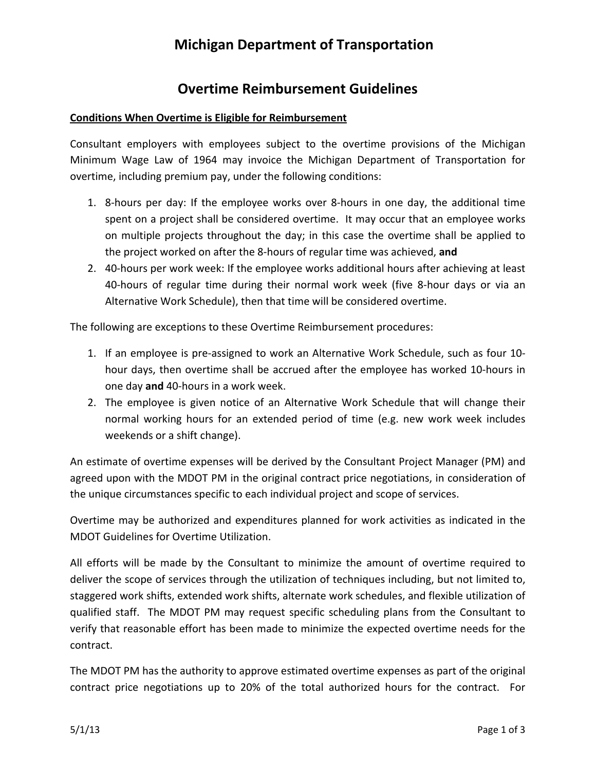# **Michigan Department of Transportation**

### **Overtime Reimbursement Guidelines**

### **Conditions When Overtime is Eligible for Reimbursement**

Consultant employers with employees subject to the overtime provisions of the Michigan Minimum Wage Law of 1964 may invoice the Michigan Department of Transportation for overtime, including premium pay, under the following conditions:

- 1. 8‐hours per day: If the employee works over 8‐hours in one day, the additional time spent on a project shall be considered overtime. It may occur that an employee works on multiple projects throughout the day; in this case the overtime shall be applied to the project worked on after the 8‐hours of regular time was achieved, **and**
- 2. 40-hours per work week: If the employee works additional hours after achieving at least 40‐hours of regular time during their normal work week (five 8‐hour days or via an Alternative Work Schedule), then that time will be considered overtime.

The following are exceptions to these Overtime Reimbursement procedures:

- 1. If an employee is pre‐assigned to work an Alternative Work Schedule, such as four 10‐ hour days, then overtime shall be accrued after the employee has worked 10‐hours in one day **and** 40‐hours in a work week.
- 2. The employee is given notice of an Alternative Work Schedule that will change their normal working hours for an extended period of time (e.g. new work week includes weekends or a shift change).

An estimate of overtime expenses will be derived by the Consultant Project Manager (PM) and agreed upon with the MDOT PM in the original contract price negotiations, in consideration of the unique circumstances specific to each individual project and scope of services.

Overtime may be authorized and expenditures planned for work activities as indicated in the MDOT Guidelines for Overtime Utilization.

All efforts will be made by the Consultant to minimize the amount of overtime required to deliver the scope of services through the utilization of techniques including, but not limited to, staggered work shifts, extended work shifts, alternate work schedules, and flexible utilization of qualified staff. The MDOT PM may request specific scheduling plans from the Consultant to verify that reasonable effort has been made to minimize the expected overtime needs for the contract.

The MDOT PM has the authority to approve estimated overtime expenses as part of the original contract price negotiations up to 20% of the total authorized hours for the contract. For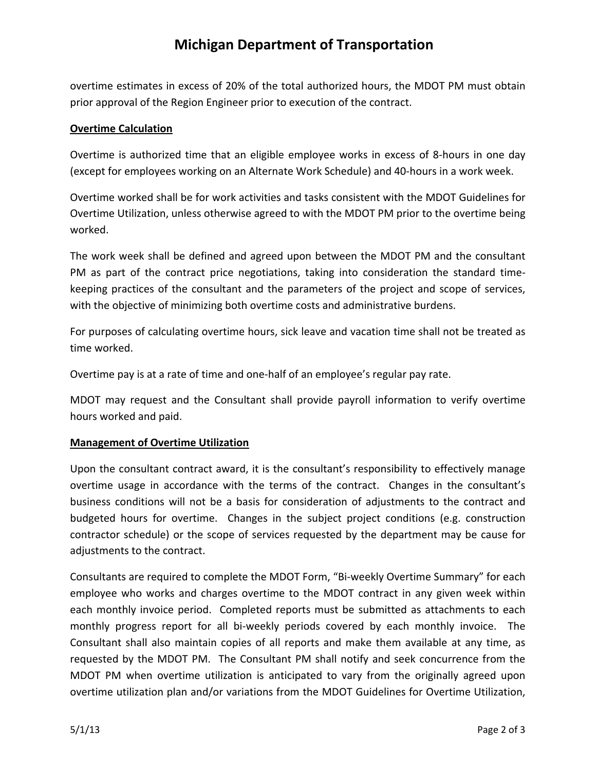# **Michigan Department of Transportation**

overtime estimates in excess of 20% of the total authorized hours, the MDOT PM must obtain prior approval of the Region Engineer prior to execution of the contract.

#### **Overtime Calculation**

Overtime is authorized time that an eligible employee works in excess of 8‐hours in one day (except for employees working on an Alternate Work Schedule) and 40‐hours in a work week.

Overtime worked shall be for work activities and tasks consistent with the MDOT Guidelines for Overtime Utilization, unless otherwise agreed to with the MDOT PM prior to the overtime being worked.

The work week shall be defined and agreed upon between the MDOT PM and the consultant PM as part of the contract price negotiations, taking into consideration the standard time‐ keeping practices of the consultant and the parameters of the project and scope of services, with the objective of minimizing both overtime costs and administrative burdens.

For purposes of calculating overtime hours, sick leave and vacation time shall not be treated as time worked.

Overtime pay is at a rate of time and one‐half of an employee's regular pay rate.

MDOT may request and the Consultant shall provide payroll information to verify overtime hours worked and paid.

#### **Management of Overtime Utilization**

Upon the consultant contract award, it is the consultant's responsibility to effectively manage overtime usage in accordance with the terms of the contract. Changes in the consultant's business conditions will not be a basis for consideration of adjustments to the contract and budgeted hours for overtime. Changes in the subject project conditions (e.g. construction contractor schedule) or the scope of services requested by the department may be cause for adjustments to the contract.

Consultants are required to complete the MDOT Form, "Bi‐weekly Overtime Summary" for each employee who works and charges overtime to the MDOT contract in any given week within each monthly invoice period. Completed reports must be submitted as attachments to each monthly progress report for all bi-weekly periods covered by each monthly invoice. The Consultant shall also maintain copies of all reports and make them available at any time, as requested by the MDOT PM. The Consultant PM shall notify and seek concurrence from the MDOT PM when overtime utilization is anticipated to vary from the originally agreed upon overtime utilization plan and/or variations from the MDOT Guidelines for Overtime Utilization,